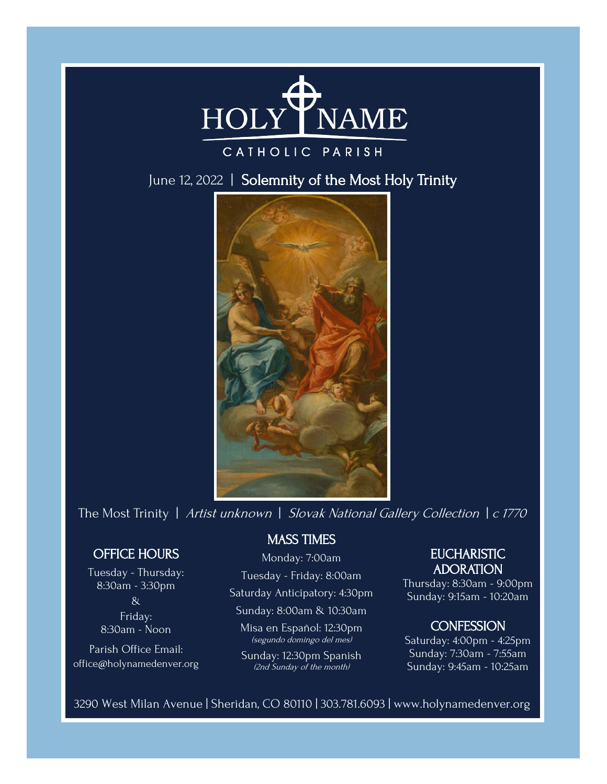

## CATHOLIC PARISH

June 12, 2022 | Solemnity of the Most Holy Trinity



The Most Trinity | Artist unknown | Slovak National Gallery Collection | c 1770

## OFFICE HOURS

Tuesday - Thursday: 8:30am - 3:30pm & Friday: 8:30am - Noon

Parish Office Email: office@holynamedenver.org

## MASS TIMES

## Monday: 7:00am

Tuesday - Friday: 8:00am

Saturday Anticipatory: 4:30pm

Sunday: 8:00am & 10:30am

Misa en Español: 12:30pm (segundo domingo del mes)

Sunday: 12:30pm Spanish (2nd Sunday of the month)

## **EUCHARISTIC** ADORATION

Thursday: 8:30am - 9:00pm Sunday: 9:15am - 10:20am

### **CONFESSION**

Saturday: 4:00pm - 4:25pm Sunday: 7:30am - 7:55am Sunday: 9:45am - 10:25am

3290 West Milan Avenue | Sheridan, CO 80110 | 303.781.6093 | www.holynamedenver.org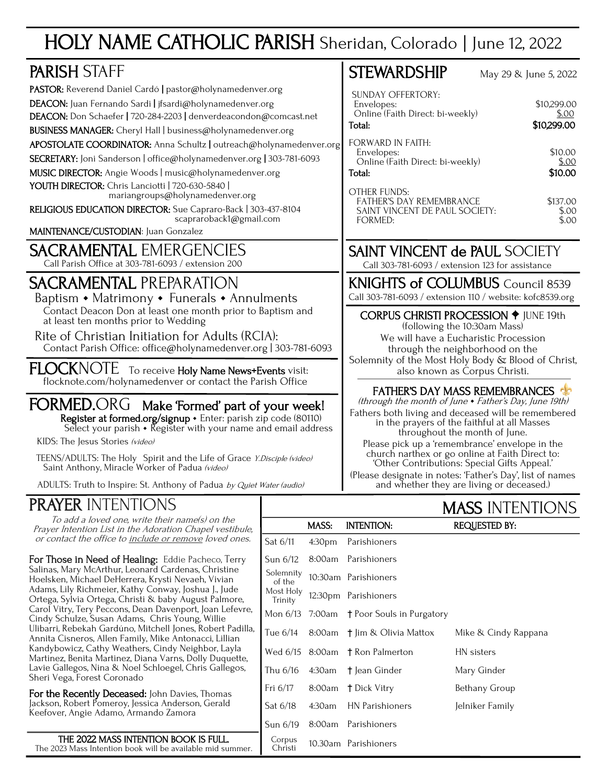# HOLY NAME CATHOLIC PARISH Sheridan, Colorado | June 12, 2022

| <b>PARISH STAFF</b>                                                                                                                                                                                                                                                                                                                                                                                                                                                                                                                                                                                                                                                                          | <b>STEWARDSHIP</b><br>May 29 & June 5, 2022                                                                                                                                                                                                                                                                                                                                             |        |                                                                                                                                                                                                                                                                                                                                                                                                                                                                                                                                                                                              |  |                        |  |
|----------------------------------------------------------------------------------------------------------------------------------------------------------------------------------------------------------------------------------------------------------------------------------------------------------------------------------------------------------------------------------------------------------------------------------------------------------------------------------------------------------------------------------------------------------------------------------------------------------------------------------------------------------------------------------------------|-----------------------------------------------------------------------------------------------------------------------------------------------------------------------------------------------------------------------------------------------------------------------------------------------------------------------------------------------------------------------------------------|--------|----------------------------------------------------------------------------------------------------------------------------------------------------------------------------------------------------------------------------------------------------------------------------------------------------------------------------------------------------------------------------------------------------------------------------------------------------------------------------------------------------------------------------------------------------------------------------------------------|--|------------------------|--|
| PASTOR: Reverend Daniel Cardó   pastor@holynamedenver.org<br>DEACON: Juan Fernando Sardi   jfsardi@holynamedenver.org<br>DEACON: Don Schaefer   720-284-2203   denverdeacondon@comcast.net<br>BUSINESS MANAGER: Cheryl Hall   business@holynamedenver.org<br>APOSTOLATE COORDINATOR: Anna Schultz   outreach@holynamedenver.org<br>SECRETARY: Joni Sanderson   office@holynamedenver.org   303-781-6093<br>MUSIC DIRECTOR: Angie Woods   music@holynamedenver.org<br>YOUTH DIRECTOR: Chris Lanciotti   720-630-5840  <br>mariangroups@holynamedenver.org<br>RELIGIOUS EDUCATION DIRECTOR: Sue Capraro-Back   303-437-8104<br>scapraroback1@gmail.com<br>MAINTENANCE/CUSTODIAN: Juan Gonzalez | <b>SUNDAY OFFERTORY:</b><br>\$10,299.00<br>Envelopes:<br>Online (Faith Direct: bi-weekly)<br>\$.00<br>\$10,299.00<br>Total:<br><b>FORWARD IN FAITH:</b><br>\$10.00<br>Envelopes:<br>Online (Faith Direct: bi-weekly)<br>\$.00<br>\$10.00<br>Total:<br><b>OTHER FUNDS:</b><br>\$137.00<br><b>FATHER'S DAY REMEMBRANCE</b><br>SAINT VINCENT DE PAUL SOCIETY:<br>\$.00<br>FORMED:<br>\$.00 |        |                                                                                                                                                                                                                                                                                                                                                                                                                                                                                                                                                                                              |  |                        |  |
| <b>SACRAMENTAL EMERGENCIES</b><br>Call Parish Office at 303-781-6093 / extension 200                                                                                                                                                                                                                                                                                                                                                                                                                                                                                                                                                                                                         | <b>SAINT VINCENT de PAUL SOCIETY</b><br>Call 303-781-6093 / extension 123 for assistance                                                                                                                                                                                                                                                                                                |        |                                                                                                                                                                                                                                                                                                                                                                                                                                                                                                                                                                                              |  |                        |  |
| <b>SACRAMENTAL PREPARATION</b><br>Baptism • Matrimony • Funerals • Annulments                                                                                                                                                                                                                                                                                                                                                                                                                                                                                                                                                                                                                |                                                                                                                                                                                                                                                                                                                                                                                         |        | <b>KNIGHTS of COLUMBUS</b> Council 8539<br>Call 303-781-6093 / extension 110 / website: kofc8539.org                                                                                                                                                                                                                                                                                                                                                                                                                                                                                         |  |                        |  |
| Contact Deacon Don at least one month prior to Baptism and<br>at least ten months prior to Wedding<br>Rite of Christian Initiation for Adults (RCIA):<br>Contact Parish Office: office@holynamedenver.org   303-781-6093                                                                                                                                                                                                                                                                                                                                                                                                                                                                     | <b>CORPUS CHRISTI PROCESSION + JUNE 19th</b><br>(following the 10:30am Mass)<br>We will have a Eucharistic Procession<br>through the neighborhood on the                                                                                                                                                                                                                                |        |                                                                                                                                                                                                                                                                                                                                                                                                                                                                                                                                                                                              |  |                        |  |
| <b>FLOCKNOTE</b><br>To receive Holy Name News+Events visit:<br>flocknote.com/holynamedenver or contact the Parish Office                                                                                                                                                                                                                                                                                                                                                                                                                                                                                                                                                                     |                                                                                                                                                                                                                                                                                                                                                                                         |        | Solemnity of the Most Holy Body & Blood of Christ,<br>also known as Corpus Christi.<br><b>FATHER'S DAY MASS REMEMBRANCES</b><br>(through the month of June • Father's Day, June 19th)<br>Fathers both living and deceased will be remembered<br>in the prayers of the faithful at all Masses<br>throughout the month of June.<br>Please pick up a 'remembrance' envelope in the<br>church narthex or go online at Faith Direct to:<br>'Other Contributions: Special Gifts Appeal.'<br>(Please designate in notes: 'Father's Day', list of names<br>and whether they are living or deceased.) |  |                        |  |
| <b>FORMED.ORG</b><br>Make 'Formed' part of your week!<br>Register at formed.org/signup + Enter: parish zip code (80110)<br>Select your parish $\cdot$ Register with your name and email address<br>KIDS: The Jesus Stories (video)<br>TEENS/ADULTS: The Holy Spirit and the Life of Grace Y.Disciple (video)<br>Saint Anthony, Miracle Worker of Padua (video)                                                                                                                                                                                                                                                                                                                               |                                                                                                                                                                                                                                                                                                                                                                                         |        |                                                                                                                                                                                                                                                                                                                                                                                                                                                                                                                                                                                              |  |                        |  |
| ADULTS: Truth to Inspire: St. Anthony of Padua by Quiet Water (audio)                                                                                                                                                                                                                                                                                                                                                                                                                                                                                                                                                                                                                        |                                                                                                                                                                                                                                                                                                                                                                                         |        |                                                                                                                                                                                                                                                                                                                                                                                                                                                                                                                                                                                              |  |                        |  |
| <b>PRAYER INTENTIONS</b>                                                                                                                                                                                                                                                                                                                                                                                                                                                                                                                                                                                                                                                                     |                                                                                                                                                                                                                                                                                                                                                                                         |        |                                                                                                                                                                                                                                                                                                                                                                                                                                                                                                                                                                                              |  | <b>MASS INTENTIONS</b> |  |
| To add a loved one, write their name(s) on the<br>Prayer Intention List in the Adoration Chapel vestibule,                                                                                                                                                                                                                                                                                                                                                                                                                                                                                                                                                                                   |                                                                                                                                                                                                                                                                                                                                                                                         | MASS:  | <b>INTENTION:</b>                                                                                                                                                                                                                                                                                                                                                                                                                                                                                                                                                                            |  | <b>REQUESTED BY:</b>   |  |
| or contact the office to include or remove loved ones.                                                                                                                                                                                                                                                                                                                                                                                                                                                                                                                                                                                                                                       | Sat 6/11                                                                                                                                                                                                                                                                                                                                                                                | 4:30pm | Parishioners                                                                                                                                                                                                                                                                                                                                                                                                                                                                                                                                                                                 |  |                        |  |
| For Those in Need of Healing: Eddie Pacheco, Terry                                                                                                                                                                                                                                                                                                                                                                                                                                                                                                                                                                                                                                           | Sun 6/12                                                                                                                                                                                                                                                                                                                                                                                | 8:00am | Parishioners                                                                                                                                                                                                                                                                                                                                                                                                                                                                                                                                                                                 |  |                        |  |

Solemnity<br>of the

Most Holy

Corpus<br>Christi

10:30am Parishioners

Mon 6/13 7:00am † Poor Souls in Purgatory

Tue 6/14 8:00am † Jim & Olivia Mattox Mike & Cindy Rappana

Wed 6/15 8:00am † Ron Palmerton HN sisters Thu 6/16 4:30am † Jean Ginder Mary Ginder Fri 6/17 8:00am † Dick Vitry Bethany Group Sat 6/18 4:30am HN Parishioners Jelniker Family

Trinity 12:30pm Parishioners

Sun 6/19 8:00am Parishioners

For Those in Need of Healing: Eddie Pacheco, Terry Salinas, Mary McArthur, Leonard Cardenas, Christine Hoelsken, Michael DeHerrera, Krysti Nevaeh, Vivian Adams, Lily Richmeier, Kathy Conway, Joshua J., Jude Ortega, Sylvia Ortega, Christi & baby August Palmore, Carol Vitry, Tery Peccons, Dean Davenport, Joan Lefevre, Cindy Schulze, Susan Adams, Chris Young, Willie Ulibarri, Rebekah Gardúno, Mitchell Jones, Robert Padilla, Annita Cisneros, Allen Family, Mike Antonacci, Lillian Kandybowicz, Cathy Weathers, Cindy Neighbor, Layla Martinez, Benita Martinez, Diana Varns, Dolly Duquette, Lavie Gallegos, Nina & Noel Schloegel, Chris Gallegos, Sheri Vega, Forest Coronado

For the Recently Deceased: John Davies, Thomas Jackson, Robert Pomeroy, Jessica Anderson, Gerald Keefover, Angie Adamo, Armando Zamora

THE 2022 MASS INTENTION BOOK IS FULL. Corpus 10.30am Parishioners The 2023 Mass Intention book will be available mid summer.